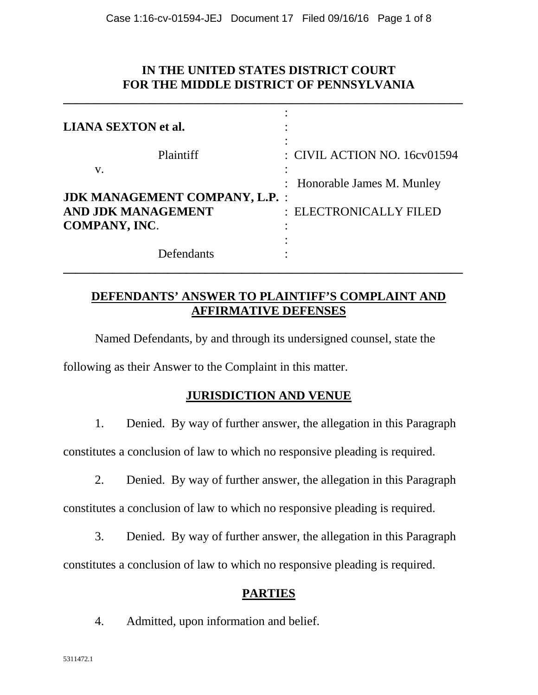## **IN THE UNITED STATES DISTRICT COURT FOR THE MIDDLE DISTRICT OF PENNSYLVANIA**

**\_\_\_\_\_\_\_\_\_\_\_\_\_\_\_\_\_\_\_\_\_\_\_\_\_\_\_\_\_\_\_\_\_\_\_\_\_\_\_\_\_\_\_\_\_\_\_\_\_\_\_\_\_\_\_\_\_\_\_\_\_\_\_\_\_**

| <b>LIANA SEXTON et al.</b>                                                          |                                                       |
|-------------------------------------------------------------------------------------|-------------------------------------------------------|
| Plaintiff<br>V.                                                                     | : CIVIL ACTION NO. 16cv01594                          |
| <b>JDK MANAGEMENT COMPANY, L.P. :</b><br>AND JDK MANAGEMENT<br><b>COMPANY, INC.</b> | : Honorable James M. Munley<br>: ELECTRONICALLY FILED |
| Defendants                                                                          |                                                       |

## **DEFENDANTS' ANSWER TO PLAINTIFF'S COMPLAINT AND AFFIRMATIVE DEFENSES**

Named Defendants, by and through its undersigned counsel, state the

following as their Answer to the Complaint in this matter.

## **JURISDICTION AND VENUE**

1. Denied. By way of further answer, the allegation in this Paragraph

constitutes a conclusion of law to which no responsive pleading is required.

2. Denied. By way of further answer, the allegation in this Paragraph

constitutes a conclusion of law to which no responsive pleading is required.

3. Denied. By way of further answer, the allegation in this Paragraph

constitutes a conclusion of law to which no responsive pleading is required.

## **PARTIES**

4. Admitted, upon information and belief.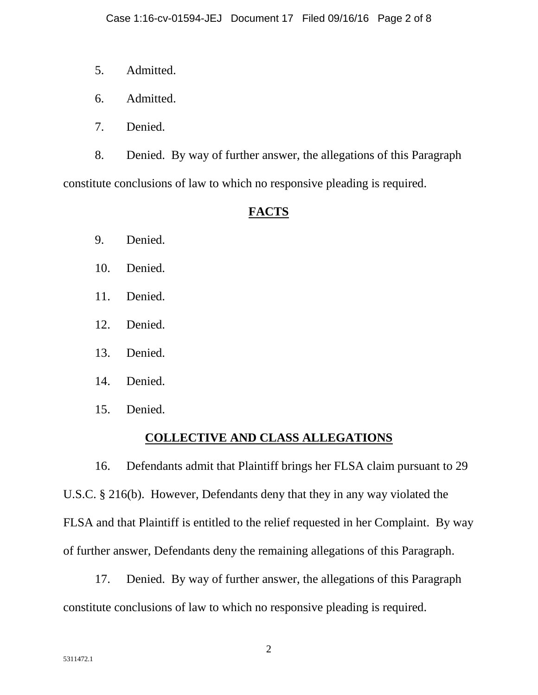- 5. Admitted.
- 6. Admitted.
- 7. Denied.

8. Denied. By way of further answer, the allegations of this Paragraph constitute conclusions of law to which no responsive pleading is required.

# **FACTS**

- 9. Denied.
- 10. Denied.
- 11. Denied.
- 12. Denied.
- 13. Denied.
- 14. Denied.
- 15. Denied.

## **COLLECTIVE AND CLASS ALLEGATIONS**

16. Defendants admit that Plaintiff brings her FLSA claim pursuant to 29 U.S.C. § 216(b). However, Defendants deny that they in any way violated the FLSA and that Plaintiff is entitled to the relief requested in her Complaint. By way of further answer, Defendants deny the remaining allegations of this Paragraph.

17. Denied. By way of further answer, the allegations of this Paragraph constitute conclusions of law to which no responsive pleading is required.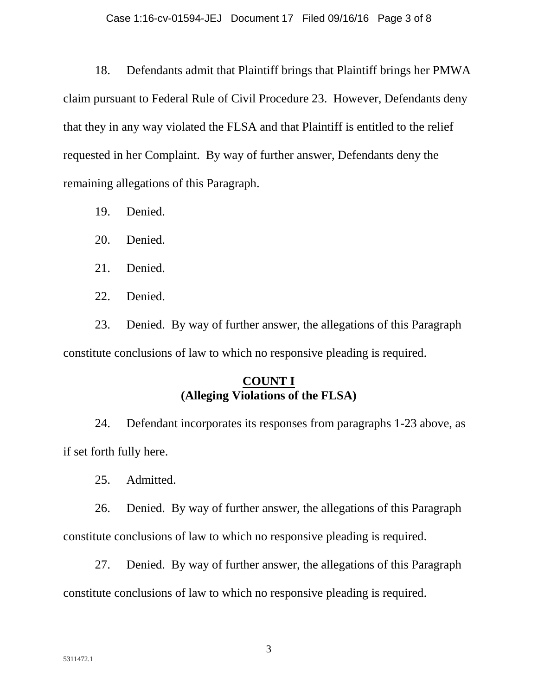18. Defendants admit that Plaintiff brings that Plaintiff brings her PMWA claim pursuant to Federal Rule of Civil Procedure 23. However, Defendants deny that they in any way violated the FLSA and that Plaintiff is entitled to the relief requested in her Complaint. By way of further answer, Defendants deny the remaining allegations of this Paragraph.

19. Denied.

20. Denied.

21. Denied.

22. Denied.

23. Denied. By way of further answer, the allegations of this Paragraph constitute conclusions of law to which no responsive pleading is required.

# **COUNT I (Alleging Violations of the FLSA)**

24. Defendant incorporates its responses from paragraphs 1-23 above, as if set forth fully here.

25. Admitted.

26. Denied. By way of further answer, the allegations of this Paragraph constitute conclusions of law to which no responsive pleading is required.

27. Denied. By way of further answer, the allegations of this Paragraph constitute conclusions of law to which no responsive pleading is required.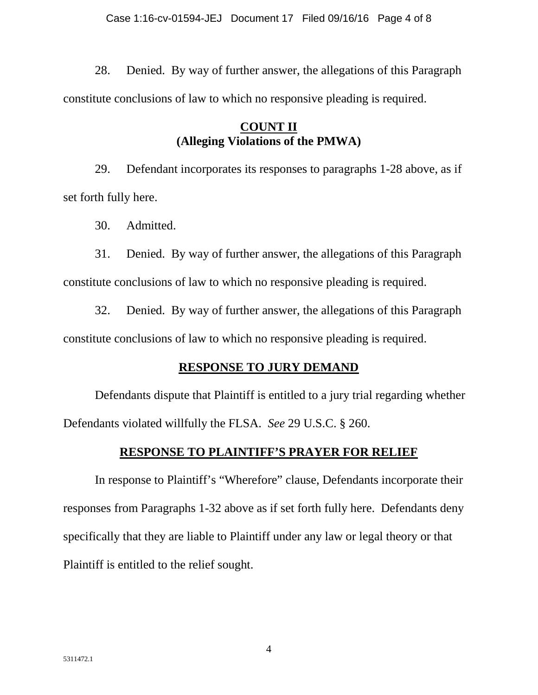28. Denied. By way of further answer, the allegations of this Paragraph constitute conclusions of law to which no responsive pleading is required.

# **COUNT II (Alleging Violations of the PMWA)**

29. Defendant incorporates its responses to paragraphs 1-28 above, as if set forth fully here.

30. Admitted.

31. Denied. By way of further answer, the allegations of this Paragraph constitute conclusions of law to which no responsive pleading is required.

32. Denied. By way of further answer, the allegations of this Paragraph constitute conclusions of law to which no responsive pleading is required.

# **RESPONSE TO JURY DEMAND**

Defendants dispute that Plaintiff is entitled to a jury trial regarding whether Defendants violated willfully the FLSA. *See* 29 U.S.C. § 260.

# **RESPONSE TO PLAINTIFF'S PRAYER FOR RELIEF**

In response to Plaintiff's "Wherefore" clause, Defendants incorporate their responses from Paragraphs 1-32 above as if set forth fully here. Defendants deny specifically that they are liable to Plaintiff under any law or legal theory or that Plaintiff is entitled to the relief sought.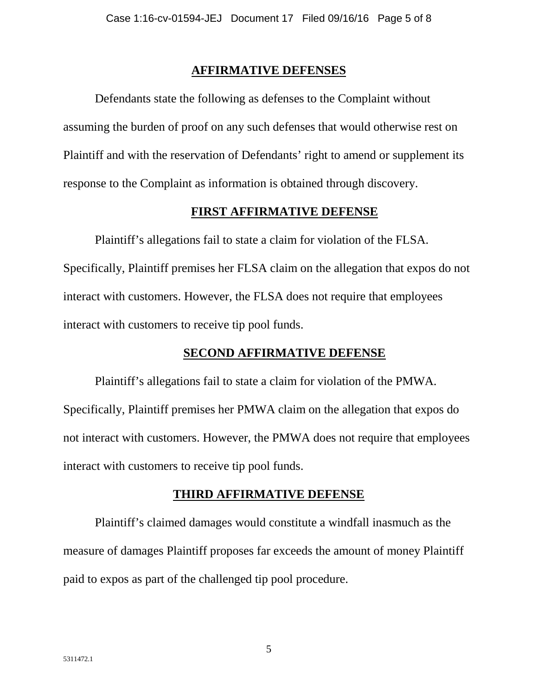#### **AFFIRMATIVE DEFENSES**

Defendants state the following as defenses to the Complaint without assuming the burden of proof on any such defenses that would otherwise rest on Plaintiff and with the reservation of Defendants' right to amend or supplement its response to the Complaint as information is obtained through discovery.

#### **FIRST AFFIRMATIVE DEFENSE**

Plaintiff's allegations fail to state a claim for violation of the FLSA. Specifically, Plaintiff premises her FLSA claim on the allegation that expos do not interact with customers. However, the FLSA does not require that employees interact with customers to receive tip pool funds.

### **SECOND AFFIRMATIVE DEFENSE**

Plaintiff's allegations fail to state a claim for violation of the PMWA. Specifically, Plaintiff premises her PMWA claim on the allegation that expos do not interact with customers. However, the PMWA does not require that employees interact with customers to receive tip pool funds.

### **THIRD AFFIRMATIVE DEFENSE**

Plaintiff's claimed damages would constitute a windfall inasmuch as the measure of damages Plaintiff proposes far exceeds the amount of money Plaintiff paid to expos as part of the challenged tip pool procedure.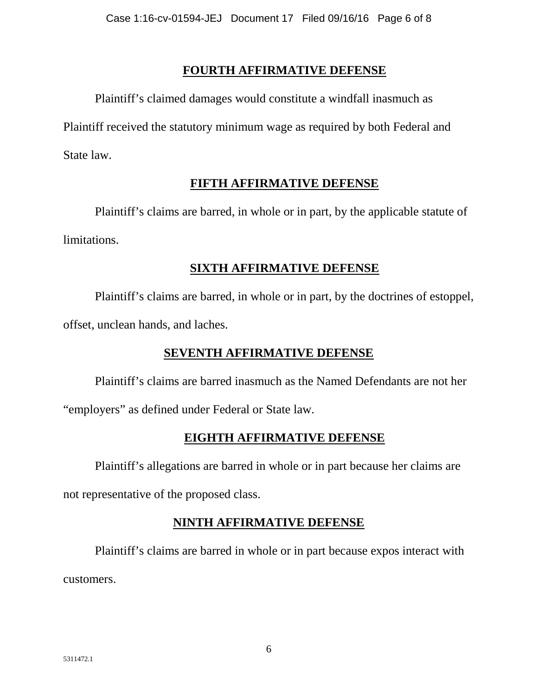## **FOURTH AFFIRMATIVE DEFENSE**

Plaintiff's claimed damages would constitute a windfall inasmuch as Plaintiff received the statutory minimum wage as required by both Federal and State law.

## **FIFTH AFFIRMATIVE DEFENSE**

Plaintiff's claims are barred, in whole or in part, by the applicable statute of limitations.

### **SIXTH AFFIRMATIVE DEFENSE**

Plaintiff's claims are barred, in whole or in part, by the doctrines of estoppel, offset, unclean hands, and laches.

# **SEVENTH AFFIRMATIVE DEFENSE**

Plaintiff's claims are barred inasmuch as the Named Defendants are not her "employers" as defined under Federal or State law.

## **EIGHTH AFFIRMATIVE DEFENSE**

Plaintiff's allegations are barred in whole or in part because her claims are

not representative of the proposed class.

# **NINTH AFFIRMATIVE DEFENSE**

Plaintiff's claims are barred in whole or in part because expos interact with customers.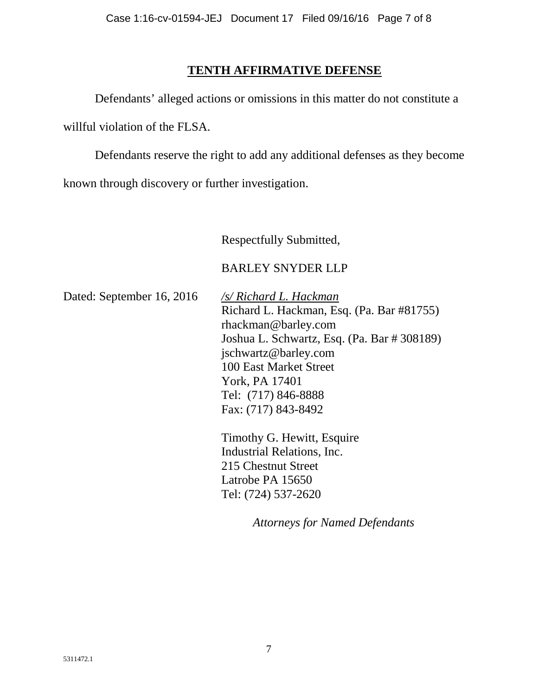### **TENTH AFFIRMATIVE DEFENSE**

Defendants' alleged actions or omissions in this matter do not constitute a willful violation of the FLSA.

Defendants reserve the right to add any additional defenses as they become known through discovery or further investigation.

Respectfully Submitted,

### BARLEY SNYDER LLP

Dated: September 16, 2016 */s/ Richard L. Hackman*

Richard L. Hackman, Esq. (Pa. Bar #81755) rhackman@barley.com Joshua L. Schwartz, Esq. (Pa. Bar # 308189) jschwartz@barley.com 100 East Market Street York, PA 17401 Tel: (717) 846-8888 Fax: (717) 843-8492

Timothy G. Hewitt, Esquire Industrial Relations, Inc. 215 Chestnut Street Latrobe PA 15650 Tel: (724) 537-2620

*Attorneys for Named Defendants*